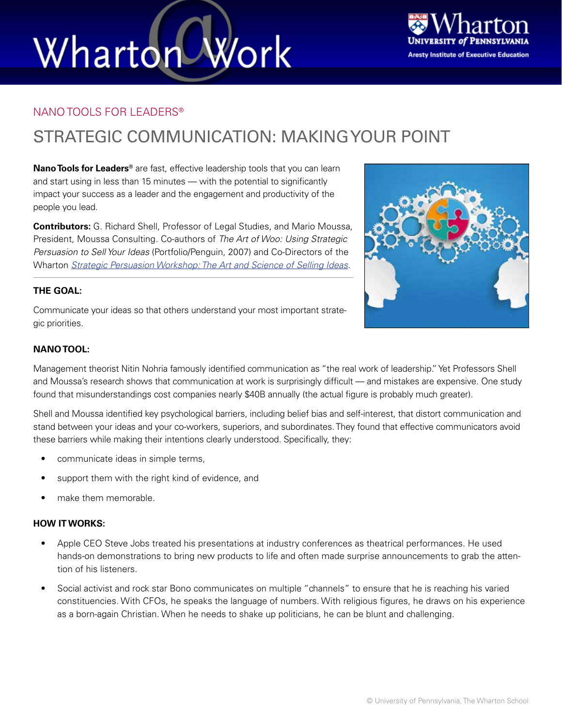# Wharton Work



#### NANO TOOLS FOR LEADERS®

### STRATEGIC COMMUNICATION: MAKING YOUR POINT

**Nano Tools for Leaders®** are fast, effective leadership tools that you can learn and start using in less than 15 minutes — with the potential to significantly impact your success as a leader and the engagement and productivity of the people you lead.

**Contributors:** G. Richard Shell, Professor of Legal Studies, and Mario Moussa, President, Moussa Consulting. Co-authors of *The Art of Woo: Using Strategic Persuasion to Sell Your Ideas* (Portfolio/Penguin, 2007) and Co-Directors of the Wharton *[Strategic Persuasion Workshop: The Art and Science of Selling Ideas](http://executiveeducation.wharton.upenn.edu/for-individuals/all-programs/strategic-persuasion-workshop-the-art-and-science-of-selling-ideas)*.

#### **THE GOAL:**

Communicate your ideas so that others understand your most important strategic priorities.



Management theorist Nitin Nohria famously identified communication as "the real work of leadership." Yet Professors Shell and Moussa's research shows that communication at work is surprisingly difficult — and mistakes are expensive. One study found that misunderstandings cost companies nearly \$40B annually (the actual figure is probably much greater).

Shell and Moussa identified key psychological barriers, including belief bias and self-interest, that distort communication and stand between your ideas and your co-workers, superiors, and subordinates. They found that effective communicators avoid these barriers while making their intentions clearly understood. Specifically, they:

- communicate ideas in simple terms,
- support them with the right kind of evidence, and
- make them memorable.

#### **HOW IT WORKS:**

- Apple CEO Steve Jobs treated his presentations at industry conferences as theatrical performances. He used hands-on demonstrations to bring new products to life and often made surprise announcements to grab the attention of his listeners.
- Social activist and rock star Bono communicates on multiple "channels" to ensure that he is reaching his varied constituencies. With CFOs, he speaks the language of numbers. With religious figures, he draws on his experience as a born-again Christian. When he needs to shake up politicians, he can be blunt and challenging.